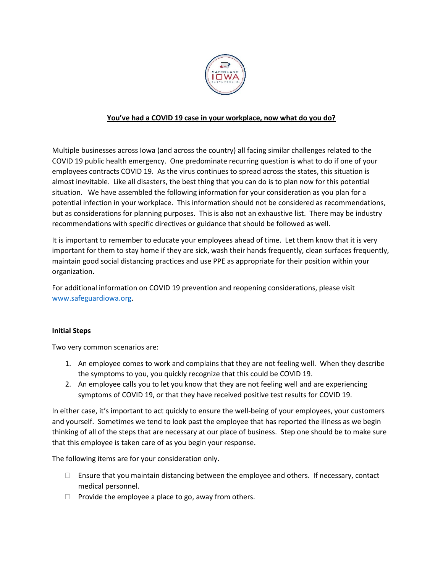

## **You've had a COVID 19 case in your workplace, now what do you do?**

Multiple businesses across Iowa (and across the country) all facing similar challenges related to the COVID 19 public health emergency. One predominate recurring question is what to do if one of your employees contracts COVID 19. As the virus continues to spread across the states, this situation is almost inevitable. Like all disasters, the best thing that you can do is to plan now for this potential situation. We have assembled the following information for your consideration as you plan for a potential infection in your workplace. This information should not be considered as recommendations, but as considerations for planning purposes. This is also not an exhaustive list. There may be industry recommendations with specific directives or guidance that should be followed as well.

It is important to remember to educate your employees ahead of time. Let them know that it is very important for them to stay home if they are sick, wash their hands frequently, clean surfaces frequently, maintain good social distancing practices and use PPE as appropriate for their position within your organization.

For additional information on COVID 19 prevention and reopening considerations, please visit [www.safeguardiowa.org.](http://www.safeguardiowa.org/)

## **Initial Steps**

Two very common scenarios are:

- 1. An employee comes to work and complains that they are not feeling well. When they describe the symptoms to you, you quickly recognize that this could be COVID 19.
- 2. An employee calls you to let you know that they are not feeling well and are experiencing symptoms of COVID 19, or that they have received positive test results for COVID 19.

In either case, it's important to act quickly to ensure the well-being of your employees, your customers and yourself. Sometimes we tend to look past the employee that has reported the illness as we begin thinking of all of the steps that are necessary at our place of business. Step one should be to make sure that this employee is taken care of as you begin your response.

The following items are for your consideration only.

- $\Box$  Ensure that you maintain distancing between the employee and others. If necessary, contact medical personnel.
- $\Box$  Provide the employee a place to go, away from others.